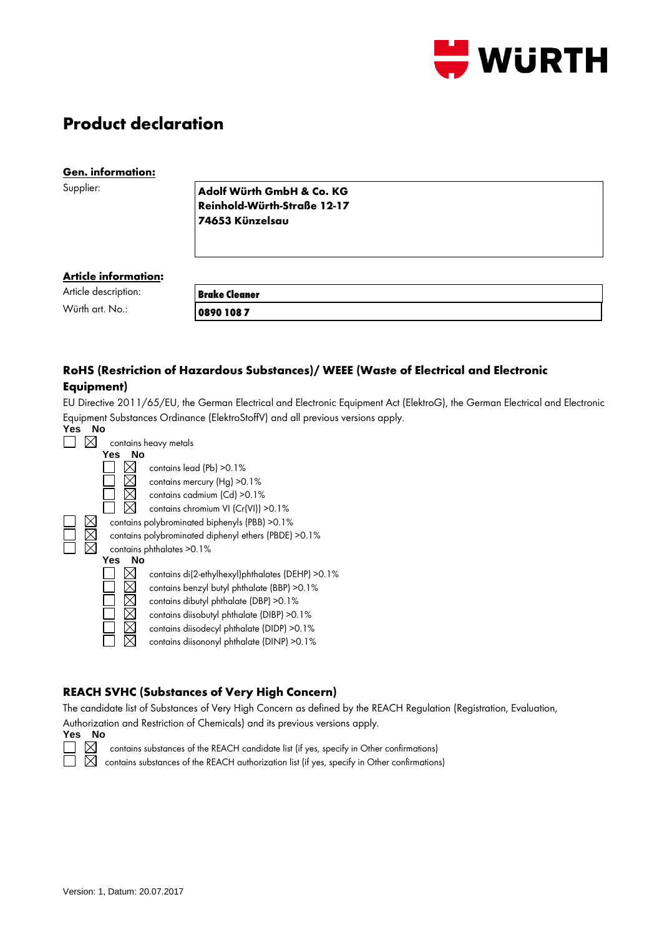

# **Product declaration**

#### **Gen. information:**

Supplier:

**Adolf Würth GmbH & Co. KG Reinhold-Würth-Straße 12-17 74653 Künzelsau**

#### **Article information:**

| Article description: | <b>Brake Cleaner</b> |  |
|----------------------|----------------------|--|
| Würth art. No.:      | 0890 1087            |  |

# **RoHS (Restriction of Hazardous Substances)/ WEEE (Waste of Electrical and Electronic Equipment)**

EU Directive 2011/65/EU, the German Electrical and Electronic Equipment Act (ElektroG), the German Electrical and Electronic Equipment Substances Ordinance (ElektroStoffV) and all previous versions apply.

| Yes | No |           |                                                       |
|-----|----|-----------|-------------------------------------------------------|
|     |    |           | contains heavy metals                                 |
|     |    | Yes<br>Nο |                                                       |
|     |    |           | contains lead (Pb) > 0.1%                             |
|     |    |           | contains mercury (Hg) > 0.1%                          |
|     |    |           | contains cadmium (Cd) > 0.1%                          |
|     |    |           | contains chromium VI (Cr(VI)) > 0.1%                  |
|     |    |           | contains polybrominated biphenyls (PBB) > 0.1%        |
|     |    |           | contains polybrominated diphenyl ethers (PBDE) > 0.1% |
|     |    |           | contains phthalates > 0.1%                            |
|     |    | No<br>Yes |                                                       |
|     |    |           | contains di(2-ethylhexyl)phthalates (DEHP) > 0.1%     |
|     |    |           | contains benzyl butyl phthalate (BBP) > 0.1%          |
|     |    |           | contains dibutyl phthalate (DBP) > 0.1%               |
|     |    |           | contains diisobutyl phthalate (DIBP) > 0.1%           |
|     |    |           | contains diisodecyl phthalate (DIDP) > 0.1%           |
|     |    |           | contains diisononyl phthalate (DINP) > 0.1%           |
|     |    |           |                                                       |

# **REACH SVHC (Substances of Very High Concern)**

The candidate list of Substances of Very High Concern as defined by the REACH Regulation (Registration, Evaluation,

Authorization and Restriction of Chemicals) and its previous versions apply.



contains substances of the REACH candidate list (if yes, specify in Other confirmations)

 $\overline{\boxtimes}$  contains substances of the REACH authorization list (if yes, specify in Other confirmations)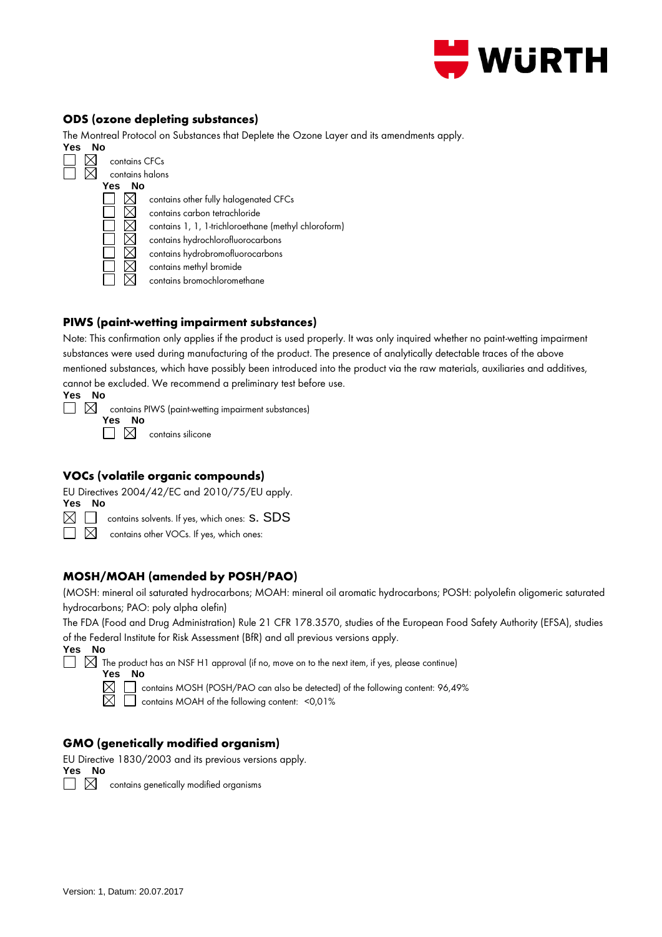

#### **ODS (ozone depleting substances)**

The Montreal Protocol on Substances that Deplete the Ozone Layer and its amendments apply.



# **PIWS (paint-wetting impairment substances)**

Note: This confirmation only applies if the product is used properly. It was only inquired whether no paint-wetting impairment substances were used during manufacturing of the product. The presence of analytically detectable traces of the above mentioned substances, which have possibly been introduced into the product via the raw materials, auxiliaries and additives, cannot be excluded. We recommend a preliminary test before use. **Yes No**

| ٠<br>۰.<br>×<br>۰. |  |
|--------------------|--|
|                    |  |

 $\square$   $\square$  contains PIWS (paint-wetting impairment substances)

**Yes No**  $\Box \boxtimes$  contains silicone

#### **VOCs (volatile organic compounds)**

EU Directives 2004/42/EC and 2010/75/EU apply.

**Yes No**

 $\boxtimes$   $\Box$  contains solvents. If yes, which ones: S. SDS

 $\Box$   $\boxtimes$  contains other VOCs. If yes, which ones:

# **MOSH/MOAH (amended by POSH/PAO)**

(MOSH: mineral oil saturated hydrocarbons; MOAH: mineral oil aromatic hydrocarbons; POSH: polyolefin oligomeric saturated hydrocarbons; PAO: poly alpha olefin)

The FDA (Food and Drug Administration) Rule 21 CFR 178.3570, studies of the European Food Safety Authority (EFSA), studies of the Federal Institute for Risk Assessment (BfR) and all previous versions apply.

**Yes No**

 $\Box$   $\boxtimes$  The product has an NSF H1 approval (if no, move on to the next item, if yes, please continue)

**Yes No**

contains MOSH (POSH/PAO can also be detected) of the following content: 96,49%

 $\boxtimes$   $\Box$  contains MOAH of the following content: <0,01%

# **GMO (genetically modified organism)**

EU Directive 1830/2003 and its previous versions apply. **Yes No**



 $\Box$   $\boxtimes$  contains genetically modified organisms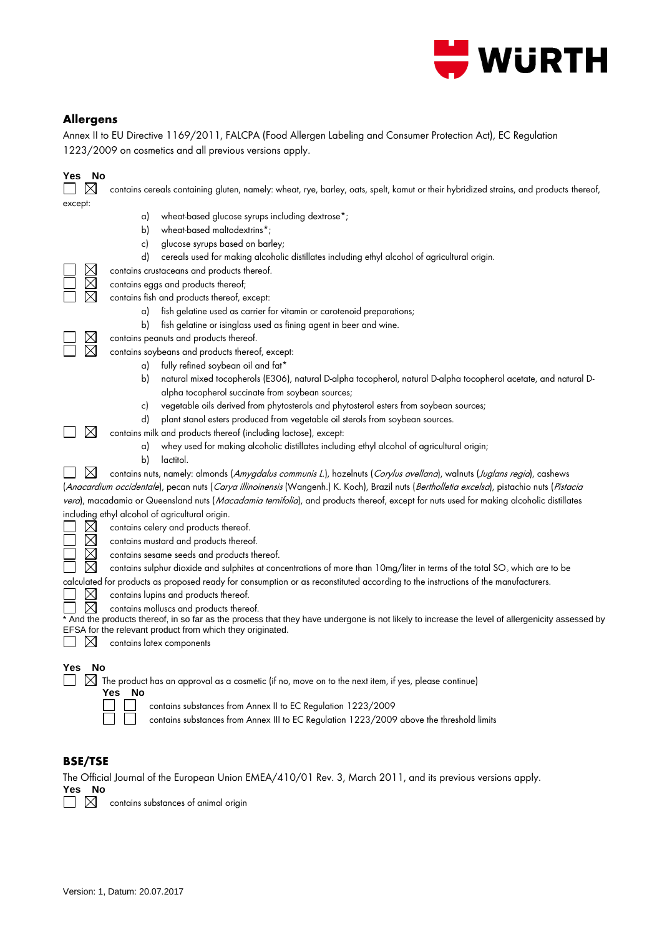

#### **Allergens**

Annex II to EU Directive 1169/2011, FALCPA (Food Allergen Labeling and Consumer Protection Act), EC Regulation 1223/2009 on cosmetics and all previous versions apply.

| Yes<br>No<br>except:                      | contains cereals containing gluten, namely: wheat, rye, barley, oats, spelt, kamut or their hybridized strains, and products thereof,                                                                                                                                                                                                                                                                                                                                                  |
|-------------------------------------------|----------------------------------------------------------------------------------------------------------------------------------------------------------------------------------------------------------------------------------------------------------------------------------------------------------------------------------------------------------------------------------------------------------------------------------------------------------------------------------------|
|                                           | wheat-based glucose syrups including dextrose*;<br>a)<br>wheat-based maltodextrins*;<br>b)<br>glucose syrups based on barley;<br>c)<br>d)<br>cereals used for making alcoholic distillates including ethyl alcohol of agricultural origin.                                                                                                                                                                                                                                             |
|                                           | contains crustaceans and products thereof.<br>contains eggs and products thereof;<br>contains fish and products thereof, except:<br>fish gelatine used as carrier for vitamin or carotenoid preparations;<br>a)                                                                                                                                                                                                                                                                        |
|                                           | b)<br>fish gelatine or isinglass used as fining agent in beer and wine.<br>contains peanuts and products thereof.<br>contains soybeans and products thereof, except:<br>fully refined soybean oil and fat*<br>a)<br>natural mixed tocopherols (E306), natural D-alpha tocopherol, natural D-alpha tocopherol acetate, and natural D-<br>b)                                                                                                                                             |
| $\boxtimes$                               | alpha tocopherol succinate from soybean sources;<br>vegetable oils derived from phytosterols and phytosterol esters from soybean sources;<br>c)<br>d)<br>plant stanol esters produced from vegetable oil sterols from soybean sources.<br>contains milk and products thereof (including lactose), except:<br>whey used for making alcoholic distillates including ethyl alcohol of agricultural origin;<br>a)                                                                          |
| $\boxtimes$                               | b)<br>lactitol.<br>contains nuts, namely: almonds (Amygdalus communis L.), hazelnuts (Corylus avellana), walnuts (Juglans regia), cashews<br>(Anacardium occidentale), pecan nuts (Carya illinoinensis (Wangenh.) K. Koch), Brazil nuts (Bertholletia excelsa), pistachio nuts (Pistacia<br>vera), macadamia or Queensland nuts (Macadamia ternifolia), and products thereof, except for nuts used for making alcoholic distillates<br>including ethyl alcohol of agricultural origin. |
|                                           | contains celery and products thereof.<br>contains mustard and products thereof.<br>contains sesame seeds and products thereof.<br>contains sulphur dioxide and sulphites at concentrations of more than 10mg/liter in terms of the total SO <sub>2</sub> which are to be                                                                                                                                                                                                               |
| $\boxtimes$<br>$\boxtimes$<br>$\boxtimes$ | calculated for products as proposed ready for consumption or as reconstituted according to the instructions of the manufacturers.<br>contains lupins and products thereof.<br>contains molluscs and products thereof.<br>* And the products thereof, in so far as the process that they have undergone is not likely to increase the level of allergenicity assessed by<br>EFSA for the relevant product from which they originated.<br>contains latex components                      |
| No<br>Yes<br>$\boxtimes$                  | The product has an approval as a cosmetic (if no, move on to the next item, if yes, please continue)<br>Yes No<br>contains substances from Annex II to EC Regulation 1223/2009<br>contains substances from Annex III to EC Regulation 1223/2009 above the threshold limits                                                                                                                                                                                                             |

#### **BSE/TSE**

The Official Journal of the European Union EMEA/410/01 Rev. 3, March 2011, and its previous versions apply.

**Yes No**

 $\square$   $\square$  contains substances of animal origin